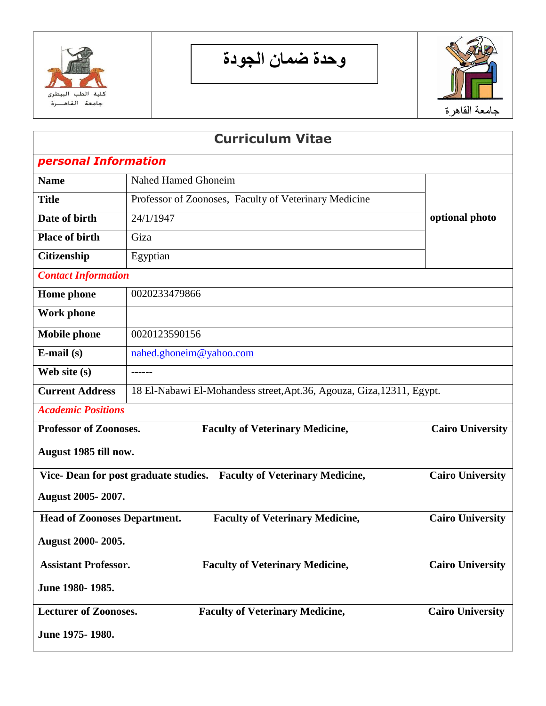

**وحدة ضمان الجودة**



| <b>Curriculum Vitae</b>                                                                                   |                                                                       |                         |
|-----------------------------------------------------------------------------------------------------------|-----------------------------------------------------------------------|-------------------------|
| personal Information                                                                                      |                                                                       |                         |
| <b>Name</b>                                                                                               | <b>Nahed Hamed Ghoneim</b>                                            |                         |
| <b>Title</b>                                                                                              | Professor of Zoonoses, Faculty of Veterinary Medicine                 |                         |
| Date of birth                                                                                             | 24/1/1947                                                             | optional photo          |
| <b>Place of birth</b>                                                                                     | Giza                                                                  |                         |
| Citizenship                                                                                               | Egyptian                                                              |                         |
| <b>Contact Information</b>                                                                                |                                                                       |                         |
| <b>Home</b> phone                                                                                         | 0020233479866                                                         |                         |
| <b>Work phone</b>                                                                                         |                                                                       |                         |
| <b>Mobile phone</b>                                                                                       | 0020123590156                                                         |                         |
| $E$ -mail $(s)$                                                                                           | nahed.ghoneim@yahoo.com                                               |                         |
| Web site (s)                                                                                              | $- - - - - -$                                                         |                         |
| <b>Current Address</b>                                                                                    | 18 El-Nabawi El-Mohandess street, Apt.36, Agouza, Giza, 12311, Egypt. |                         |
| <b>Academic Positions</b>                                                                                 |                                                                       |                         |
| <b>Professor of Zoonoses.</b><br><b>Faculty of Veterinary Medicine,</b>                                   |                                                                       | <b>Cairo University</b> |
| August 1985 till now.                                                                                     |                                                                       |                         |
| <b>Cairo University</b><br>Vice-Dean for post graduate studies.<br><b>Faculty of Veterinary Medicine,</b> |                                                                       |                         |
| August 2005-2007.                                                                                         |                                                                       |                         |
| <b>Faculty of Veterinary Medicine,</b><br><b>Head of Zoonoses Department.</b>                             |                                                                       | <b>Cairo University</b> |
| August 2000-2005.                                                                                         |                                                                       |                         |
| <b>Assistant Professor.</b><br><b>Faculty of Veterinary Medicine,</b>                                     |                                                                       | <b>Cairo University</b> |
| June 1980-1985.                                                                                           |                                                                       |                         |
| <b>Lecturer of Zoonoses.</b>                                                                              | <b>Faculty of Veterinary Medicine,</b>                                | <b>Cairo University</b> |
| June 1975-1980.                                                                                           |                                                                       |                         |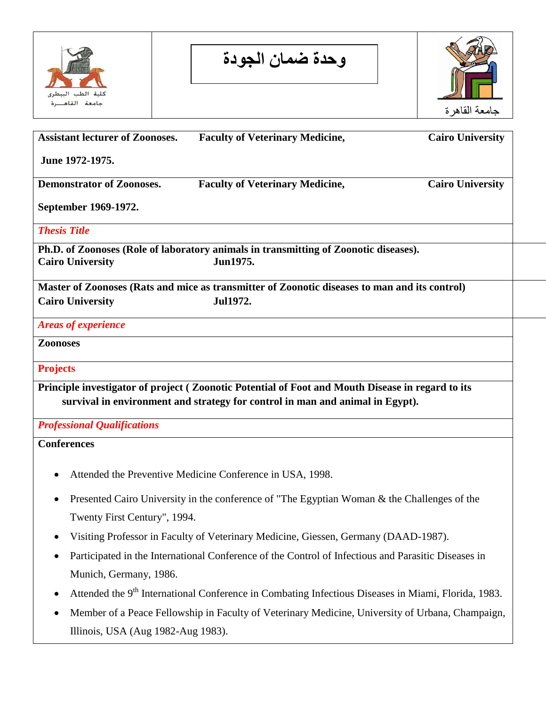

**وحدة ضمان الجودة**



| <b>Assistant lecturer of Zoonoses.</b> | <b>Faculty of Veterinary Medicine,</b>                                                                          | <b>Cairo University</b> |
|----------------------------------------|-----------------------------------------------------------------------------------------------------------------|-------------------------|
| June 1972-1975.                        |                                                                                                                 |                         |
| <b>Demonstrator of Zoonoses.</b>       | <b>Faculty of Veterinary Medicine,</b>                                                                          | <b>Cairo University</b> |
| September 1969-1972.                   |                                                                                                                 |                         |
| <b>Thesis Title</b>                    |                                                                                                                 |                         |
|                                        | Ph.D. of Zoonoses (Role of laboratory animals in transmitting of Zoonotic diseases).                            |                         |
| <b>Cairo University</b>                | Jun1975.                                                                                                        |                         |
|                                        | Master of Zoonoses (Rats and mice as transmitter of Zoonotic diseases to man and its control)                   |                         |
| <b>Cairo University</b>                | <b>Jul1972.</b>                                                                                                 |                         |
| <b>Areas of experience</b>             |                                                                                                                 |                         |
| <b>Zoonoses</b>                        |                                                                                                                 |                         |
|                                        |                                                                                                                 |                         |
| <b>Projects</b>                        |                                                                                                                 |                         |
|                                        | Principle investigator of project (Zoonotic Potential of Foot and Mouth Disease in regard to its                |                         |
|                                        | survival in environment and strategy for control in man and animal in Egypt).                                   |                         |
| <b>Professional Qualifications</b>     |                                                                                                                 |                         |
| <b>Conferences</b>                     |                                                                                                                 |                         |
|                                        |                                                                                                                 |                         |
| $\bullet$                              | Attended the Preventive Medicine Conference in USA, 1998.                                                       |                         |
| ٠                                      | Presented Cairo University in the conference of "The Egyptian Woman & the Challenges of the                     |                         |
| Twenty First Century", 1994.           |                                                                                                                 |                         |
| $\bullet$                              | Visiting Professor in Faculty of Veterinary Medicine, Giessen, Germany (DAAD-1987).                             |                         |
| $\bullet$                              | Participated in the International Conference of the Control of Infectious and Parasitic Diseases in             |                         |
| Munich, Germany, 1986.                 |                                                                                                                 |                         |
| $\bullet$                              | Attended the 9 <sup>th</sup> International Conference in Combating Infectious Diseases in Miami, Florida, 1983. |                         |
| $\bullet$                              | Member of a Peace Fellowship in Faculty of Veterinary Medicine, University of Urbana, Champaign,                |                         |

Illinois, USA (Aug 1982-Aug 1983).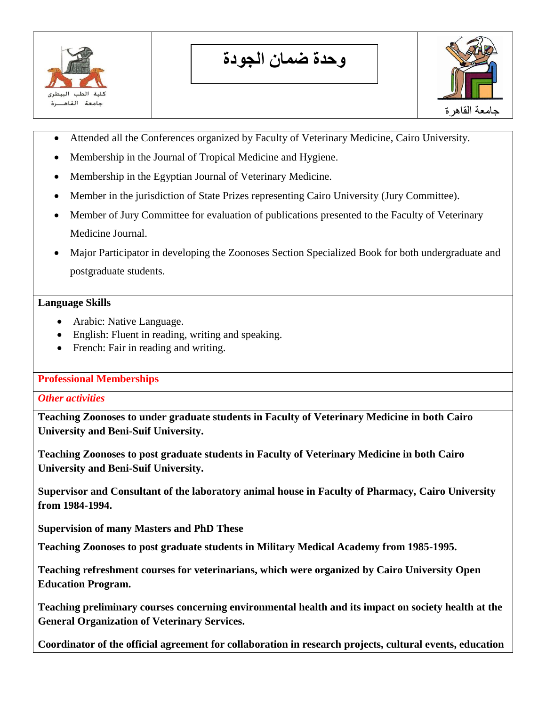

**وحدة ضمان الجودة**



- Attended all the Conferences organized by Faculty of Veterinary Medicine, Cairo University.
- Membership in the Journal of Tropical Medicine and Hygiene.
- Membership in the Egyptian Journal of Veterinary Medicine.
- Member in the jurisdiction of State Prizes representing Cairo University (Jury Committee).
- Member of Jury Committee for evaluation of publications presented to the Faculty of Veterinary Medicine Journal.
- Major Participator in developing the Zoonoses Section Specialized Book for both undergraduate and postgraduate students.

#### **Language Skills**

- Arabic: Native Language.
- English: Fluent in reading, writing and speaking.
- French: Fair in reading and writing.

### **Professional Memberships**

### *Other activities*

**Teaching Zoonoses to under graduate students in Faculty of Veterinary Medicine in both Cairo University and Beni-Suif University.**

**Teaching Zoonoses to post graduate students in Faculty of Veterinary Medicine in both Cairo University and Beni-Suif University.**

**Supervisor and Consultant of the laboratory animal house in Faculty of Pharmacy, Cairo University from 1984-1994.**

**Supervision of many Masters and PhD These**

**Teaching Zoonoses to post graduate students in Military Medical Academy from 1985-1995.**

**Teaching refreshment courses for veterinarians, which were organized by Cairo University Open Education Program.**

**Teaching preliminary courses concerning environmental health and its impact on society health at the General Organization of Veterinary Services.** 

**Coordinator of the official agreement for collaboration in research projects, cultural events, education**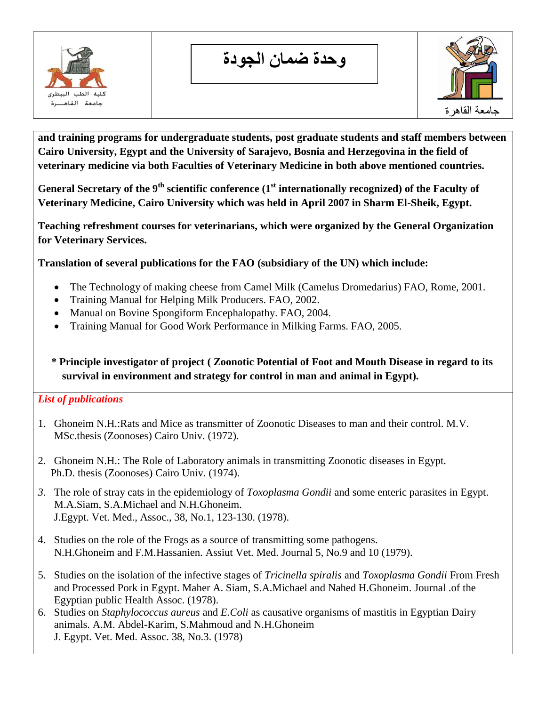

**وحدة ضمان الجودة**



**and training programs for undergraduate students, post graduate students and staff members between Cairo University, Egypt and the University of Sarajevo, Bosnia and Herzegovina in the field of veterinary medicine via both Faculties of Veterinary Medicine in both above mentioned countries.**

**General Secretary of the 9th scientific conference (1st internationally recognized) of the Faculty of Veterinary Medicine, Cairo University which was held in April 2007 in Sharm El-Sheik, Egypt.** 

**Teaching refreshment courses for veterinarians, which were organized by the General Organization for Veterinary Services.**

**Translation of several publications for the FAO (subsidiary of the UN) which include:**

- The Technology of making cheese from Camel Milk (Camelus Dromedarius) FAO, Rome, 2001.
- Training Manual for Helping Milk Producers. FAO, 2002.
- Manual on Bovine Spongiform Encephalopathy. FAO, 2004.
- Training Manual for Good Work Performance in Milking Farms. FAO, 2005.

# **\* Principle investigator of project ( Zoonotic Potential of Foot and Mouth Disease in regard to its survival in environment and strategy for control in man and animal in Egypt).**

# *List of publications*

- 1. Ghoneim N.H.:Rats and Mice as transmitter of Zoonotic Diseases to man and their control. M.V. MSc.thesis (Zoonoses) Cairo Univ. (1972).
- 2. Ghoneim N.H.: The Role of Laboratory animals in transmitting Zoonotic diseases in Egypt. Ph.D. thesis (Zoonoses) Cairo Univ. (1974).
- *3.* The role of stray cats in the epidemiology of *Toxoplasma Gondii* and some enteric parasites in Egypt. M.A.Siam, S.A.Michael and N.H.Ghoneim. J.Egypt. Vet. Med., Assoc., 38, No.1, 123-130. (1978).
- 4. Studies on the role of the Frogs as a source of transmitting some pathogens. N.H.Ghoneim and F.M.Hassanien. Assiut Vet. Med. Journal 5, No.9 and 10 (1979).
- 5. Studies on the isolation of the infective stages of *Tricinella spiralis* and *Toxoplasma Gondii* From Fresh and Processed Pork in Egypt. Maher A. Siam, S.A.Michael and Nahed H.Ghoneim. Journal .of the Egyptian public Health Assoc. (1978).
- 6. Studies on *Staphylococcus aureus* and *E.Coli* as causative organisms of mastitis in Egyptian Dairy animals. A.M. Abdel-Karim, S.Mahmoud and N.H.Ghoneim J. Egypt. Vet. Med. Assoc. 38, No.3. (1978)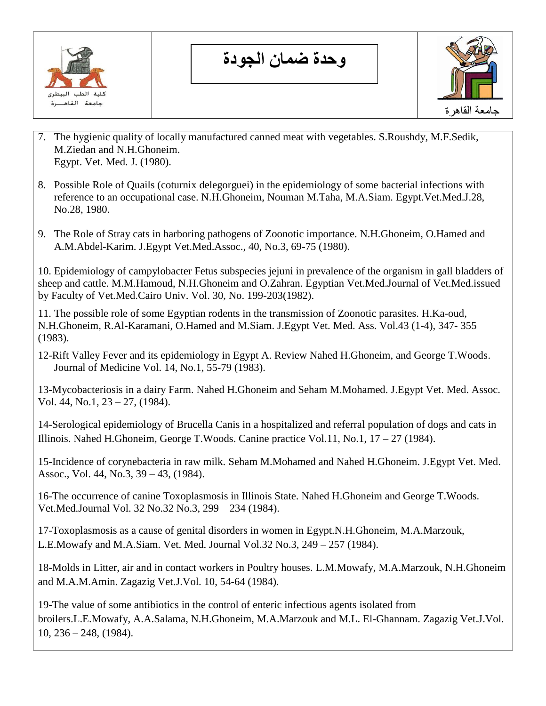

**وحدة ضمان الجودة**



- 7. The hygienic quality of locally manufactured canned meat with vegetables. S.Roushdy, M.F.Sedik, M.Ziedan and N.H.Ghoneim. Egypt. Vet. Med. J. (1980).
- 8. Possible Role of Quails (coturnix delegorguei) in the epidemiology of some bacterial infections with reference to an occupational case. N.H.Ghoneim, Nouman M.Taha, M.A.Siam. Egypt.Vet.Med.J.28, No.28, 1980.
- 9. The Role of Stray cats in harboring pathogens of Zoonotic importance. N.H.Ghoneim, O.Hamed and A.M.Abdel-Karim. J.Egypt Vet.Med.Assoc., 40, No.3, 69-75 (1980).

10. Epidemiology of campylobacter Fetus subspecies jejuni in prevalence of the organism in gall bladders of sheep and cattle. M.M.Hamoud, N.H.Ghoneim and O.Zahran. Egyptian Vet.Med.Journal of Vet.Med.issued by Faculty of Vet.Med.Cairo Univ. Vol. 30, No. 199-203(1982).

11. The possible role of some Egyptian rodents in the transmission of Zoonotic parasites. H.Ka-oud, N.H.Ghoneim, R.Al-Karamani, O.Hamed and M.Siam. J.Egypt Vet. Med. Ass. Vol.43 (1-4), 347- 355 (1983).

12-Rift Valley Fever and its epidemiology in Egypt A. Review Nahed H.Ghoneim, and George T.Woods. Journal of Medicine Vol. 14, No.1, 55-79 (1983).

13-Mycobacteriosis in a dairy Farm. Nahed H.Ghoneim and Seham M.Mohamed. J.Egypt Vet. Med. Assoc. Vol. 44, No.1, 23 – 27, (1984).

14-Serological epidemiology of Brucella Canis in a hospitalized and referral population of dogs and cats in Illinois. Nahed H.Ghoneim, George T.Woods. Canine practice Vol.11, No.1,  $17 - 27$  (1984).

15-Incidence of corynebacteria in raw milk. Seham M.Mohamed and Nahed H.Ghoneim. J.Egypt Vet. Med. Assoc., Vol. 44, No.3, 39 – 43, (1984).

16-The occurrence of canine Toxoplasmosis in Illinois State. Nahed H.Ghoneim and George T.Woods. Vet.Med.Journal Vol. 32 No.32 No.3, 299 – 234 (1984).

17-Toxoplasmosis as a cause of genital disorders in women in Egypt.N.H.Ghoneim, M.A.Marzouk, L.E.Mowafy and M.A.Siam. Vet. Med. Journal Vol.32 No.3, 249 – 257 (1984).

18-Molds in Litter, air and in contact workers in Poultry houses. L.M.Mowafy, M.A.Marzouk, N.H.Ghoneim and M.A.M.Amin. Zagazig Vet.J.Vol. 10, 54-64 (1984).

19-The value of some antibiotics in the control of enteric infectious agents isolated from broilers.L.E.Mowafy, A.A.Salama, N.H.Ghoneim, M.A.Marzouk and M.L. El-Ghannam. Zagazig Vet.J.Vol. 10, 236 – 248, (1984).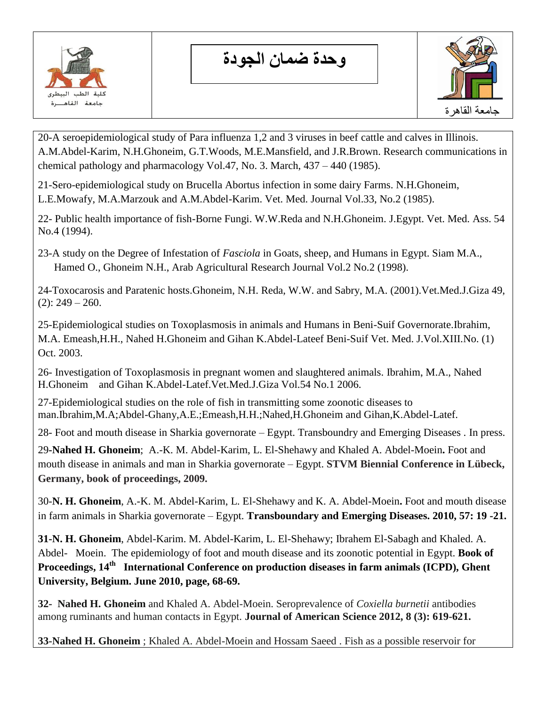

**وحدة ضمان الجودة**



20-A seroepidemiological study of Para influenza 1,2 and 3 viruses in beef cattle and calves in Illinois. A.M.Abdel-Karim, N.H.Ghoneim, G.T.Woods, M.E.Mansfield, and J.R.Brown. Research communications in chemical pathology and pharmacology Vol.47, No. 3. March, 437 – 440 (1985).

21-Sero-epidemiological study on Brucella Abortus infection in some dairy Farms. N.H.Ghoneim, L.E.Mowafy, M.A.Marzouk and A.M.Abdel-Karim. Vet. Med. Journal Vol.33, No.2 (1985).

22- Public health importance of fish-Borne Fungi. W.W.Reda and N.H.Ghoneim. J.Egypt. Vet. Med. Ass. 54 No.4 (1994).

23-A study on the Degree of Infestation of *Fasciola* in Goats, sheep, and Humans in Egypt. Siam M.A., Hamed O., Ghoneim N.H., Arab Agricultural Research Journal Vol.2 No.2 (1998).

24-Toxocarosis and Paratenic hosts.Ghoneim, N.H. Reda, W.W. and Sabry, M.A. (2001).Vet.Med.J.Giza 49,  $(2): 249 - 260.$ 

25-Epidemiological studies on Toxoplasmosis in animals and Humans in Beni-Suif Governorate.Ibrahim, M.A. Emeash,H.H., Nahed H.Ghoneim and Gihan K.Abdel-Lateef Beni-Suif Vet. Med. J.Vol.XIII.No. (1) Oct. 2003.

26- Investigation of Toxoplasmosis in pregnant women and slaughtered animals. Ibrahim, M.A., Nahed H.Ghoneim and Gihan K.Abdel-Latef.Vet.Med.J.Giza Vol.54 No.1 2006.

27-Epidemiological studies on the role of fish in transmitting some zoonotic diseases to man.Ibrahim,M.A;Abdel-Ghany,A.E.;Emeash,H.H.;Nahed,H.Ghoneim and Gihan,K.Abdel-Latef.

28- Foot and mouth disease in Sharkia governorate – Egypt. Transboundry and Emerging Diseases . In press.

29**-Nahed H. Ghoneim**; A.-K. M. Abdel-Karim, L. El-Shehawy and Khaled A. Abdel-Moein**.** Foot and mouth disease in animals and man in Sharkia governorate – Egypt. **STVM Biennial Conference in Lübeck, Germany, book of proceedings, 2009.**

30-**N. H. Ghoneim**, A.-K. M. Abdel-Karim, L. El-Shehawy and K. A. Abdel-Moein**.** Foot and mouth disease in farm animals in Sharkia governorate – Egypt. **Transboundary and Emerging Diseases. 2010, 57: 19 -21.**

**31-N. H. Ghoneim**, Abdel-Karim. M. Abdel-Karim, L. El-Shehawy; Ibrahem El-Sabagh and Khaled. A. Abdel- Moein. The epidemiology of foot and mouth disease and its zoonotic potential in Egypt. **Book of Proceedings, 14th International Conference on production diseases in farm animals (ICPD), Ghent University, Belgium. June 2010, page, 68-69.**

**32- Nahed H. Ghoneim** and Khaled A. Abdel-Moein. Seroprevalence of *Coxiella burnetii* antibodies among ruminants and human contacts in Egypt. **Journal of American Science 2012, 8 (3): 619-621.**

**33-Nahed H. Ghoneim** ; Khaled A. Abdel-Moein and Hossam Saeed . Fish as a possible reservoir for